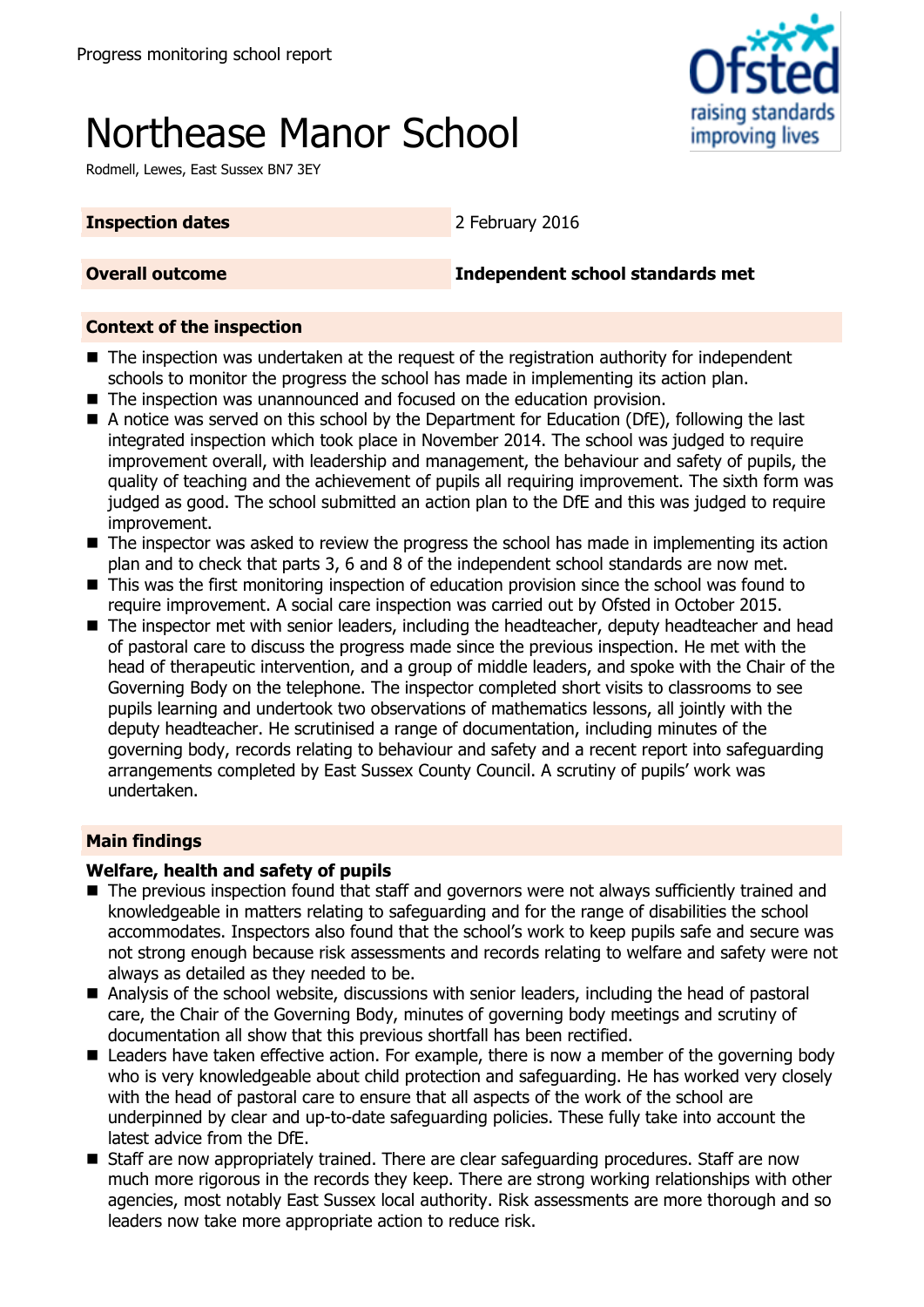# Northease Manor School

Rodmell, Lewes, East Sussex BN7 3EY

raising standards improving lives

#### **Inspection dates** 2 February 2016

**Overall outcome Independent school standards met**

#### **Context of the inspection**

- The inspection was undertaken at the request of the registration authority for independent schools to monitor the progress the school has made in implementing its action plan.
- The inspection was unannounced and focused on the education provision.
- A notice was served on this school by the Department for Education (DfE), following the last integrated inspection which took place in November 2014. The school was judged to require improvement overall, with leadership and management, the behaviour and safety of pupils, the quality of teaching and the achievement of pupils all requiring improvement. The sixth form was judged as good. The school submitted an action plan to the DfE and this was judged to require improvement.
- The inspector was asked to review the progress the school has made in implementing its action plan and to check that parts 3, 6 and 8 of the independent school standards are now met.
- This was the first monitoring inspection of education provision since the school was found to require improvement. A social care inspection was carried out by Ofsted in October 2015.
- The inspector met with senior leaders, including the headteacher, deputy headteacher and head of pastoral care to discuss the progress made since the previous inspection. He met with the head of therapeutic intervention, and a group of middle leaders, and spoke with the Chair of the Governing Body on the telephone. The inspector completed short visits to classrooms to see pupils learning and undertook two observations of mathematics lessons, all jointly with the deputy headteacher. He scrutinised a range of documentation, including minutes of the governing body, records relating to behaviour and safety and a recent report into safeguarding arrangements completed by East Sussex County Council. A scrutiny of pupils' work was undertaken.

### **Main findings**

### **Welfare, health and safety of pupils**

- The previous inspection found that staff and governors were not always sufficiently trained and knowledgeable in matters relating to safeguarding and for the range of disabilities the school accommodates. Inspectors also found that the school's work to keep pupils safe and secure was not strong enough because risk assessments and records relating to welfare and safety were not always as detailed as they needed to be.
- Analysis of the school website, discussions with senior leaders, including the head of pastoral care, the Chair of the Governing Body, minutes of governing body meetings and scrutiny of documentation all show that this previous shortfall has been rectified.
- Leaders have taken effective action. For example, there is now a member of the governing body who is very knowledgeable about child protection and safeguarding. He has worked very closely with the head of pastoral care to ensure that all aspects of the work of the school are underpinned by clear and up-to-date safeguarding policies. These fully take into account the latest advice from the DfE.
- Staff are now appropriately trained. There are clear safeguarding procedures. Staff are now much more rigorous in the records they keep. There are strong working relationships with other agencies, most notably East Sussex local authority. Risk assessments are more thorough and so leaders now take more appropriate action to reduce risk.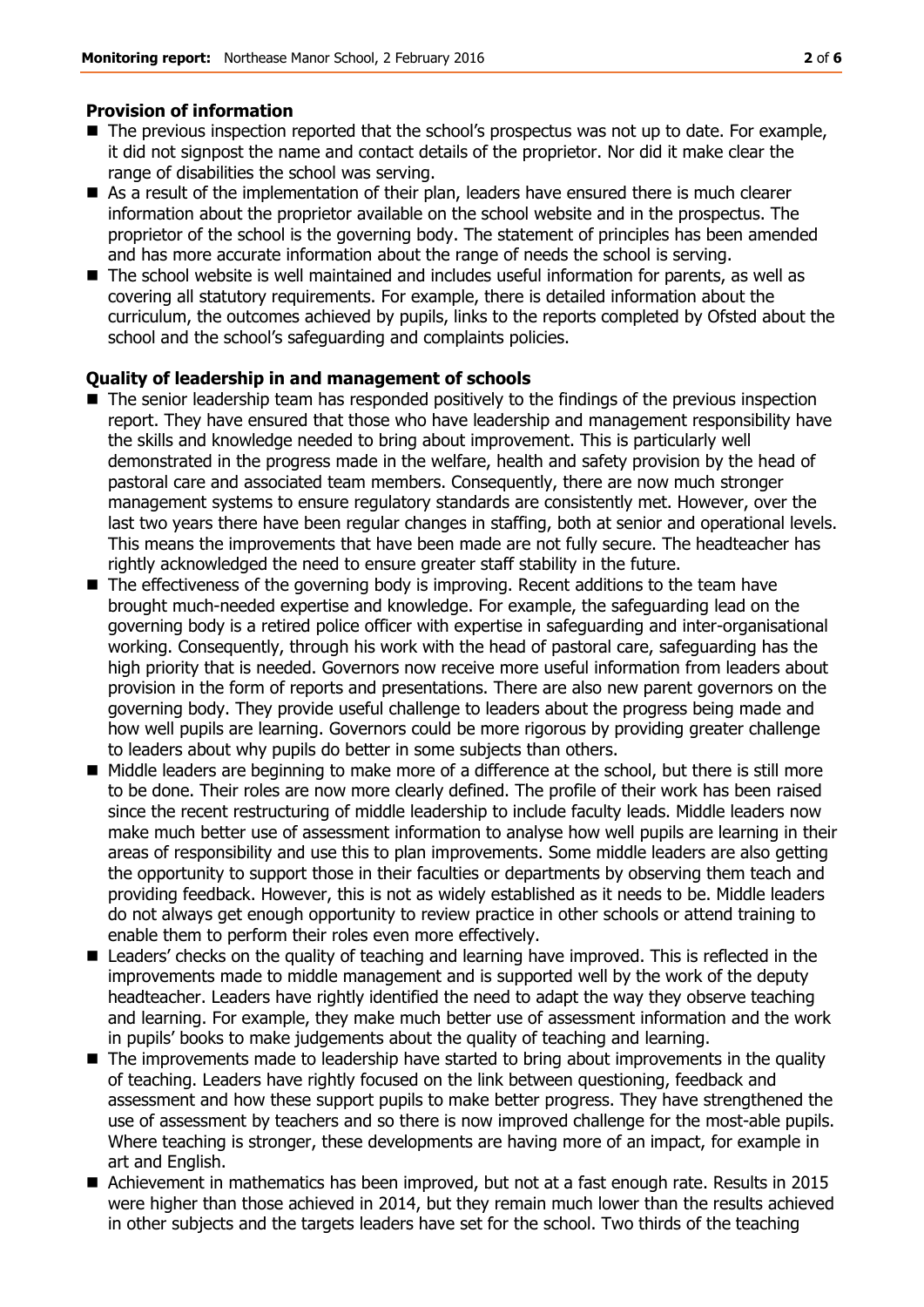#### **Provision of information**

- The previous inspection reported that the school's prospectus was not up to date. For example, it did not signpost the name and contact details of the proprietor. Nor did it make clear the range of disabilities the school was serving.
- As a result of the implementation of their plan, leaders have ensured there is much clearer information about the proprietor available on the school website and in the prospectus. The proprietor of the school is the governing body. The statement of principles has been amended and has more accurate information about the range of needs the school is serving.
- The school website is well maintained and includes useful information for parents, as well as covering all statutory requirements. For example, there is detailed information about the curriculum, the outcomes achieved by pupils, links to the reports completed by Ofsted about the school and the school's safeguarding and complaints policies.

#### **Quality of leadership in and management of schools**

- The senior leadership team has responded positively to the findings of the previous inspection report. They have ensured that those who have leadership and management responsibility have the skills and knowledge needed to bring about improvement. This is particularly well demonstrated in the progress made in the welfare, health and safety provision by the head of pastoral care and associated team members. Consequently, there are now much stronger management systems to ensure regulatory standards are consistently met. However, over the last two years there have been regular changes in staffing, both at senior and operational levels. This means the improvements that have been made are not fully secure. The headteacher has rightly acknowledged the need to ensure greater staff stability in the future.
- The effectiveness of the governing body is improving. Recent additions to the team have brought much-needed expertise and knowledge. For example, the safeguarding lead on the governing body is a retired police officer with expertise in safeguarding and inter-organisational working. Consequently, through his work with the head of pastoral care, safeguarding has the high priority that is needed. Governors now receive more useful information from leaders about provision in the form of reports and presentations. There are also new parent governors on the governing body. They provide useful challenge to leaders about the progress being made and how well pupils are learning. Governors could be more rigorous by providing greater challenge to leaders about why pupils do better in some subjects than others.
- Middle leaders are beginning to make more of a difference at the school, but there is still more to be done. Their roles are now more clearly defined. The profile of their work has been raised since the recent restructuring of middle leadership to include faculty leads. Middle leaders now make much better use of assessment information to analyse how well pupils are learning in their areas of responsibility and use this to plan improvements. Some middle leaders are also getting the opportunity to support those in their faculties or departments by observing them teach and providing feedback. However, this is not as widely established as it needs to be. Middle leaders do not always get enough opportunity to review practice in other schools or attend training to enable them to perform their roles even more effectively.
- Leaders' checks on the quality of teaching and learning have improved. This is reflected in the improvements made to middle management and is supported well by the work of the deputy headteacher. Leaders have rightly identified the need to adapt the way they observe teaching and learning. For example, they make much better use of assessment information and the work in pupils' books to make judgements about the quality of teaching and learning.
- The improvements made to leadership have started to bring about improvements in the quality of teaching. Leaders have rightly focused on the link between questioning, feedback and assessment and how these support pupils to make better progress. They have strengthened the use of assessment by teachers and so there is now improved challenge for the most-able pupils. Where teaching is stronger, these developments are having more of an impact, for example in art and English.
- Achievement in mathematics has been improved, but not at a fast enough rate. Results in 2015 were higher than those achieved in 2014, but they remain much lower than the results achieved in other subjects and the targets leaders have set for the school. Two thirds of the teaching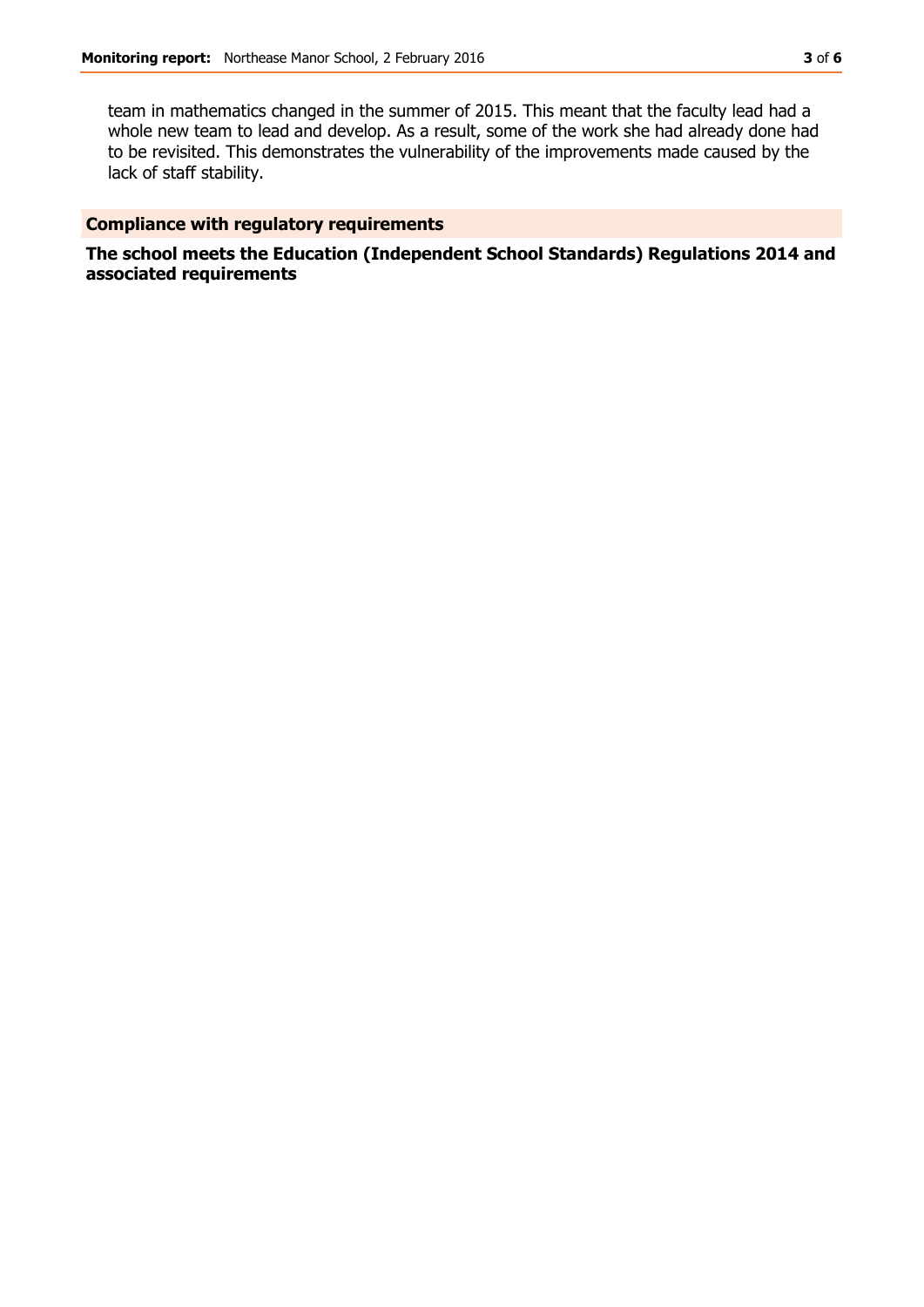team in mathematics changed in the summer of 2015. This meant that the faculty lead had a whole new team to lead and develop. As a result, some of the work she had already done had to be revisited. This demonstrates the vulnerability of the improvements made caused by the lack of staff stability.

#### **Compliance with regulatory requirements**

**The school meets the Education (Independent School Standards) Regulations 2014 and associated requirements**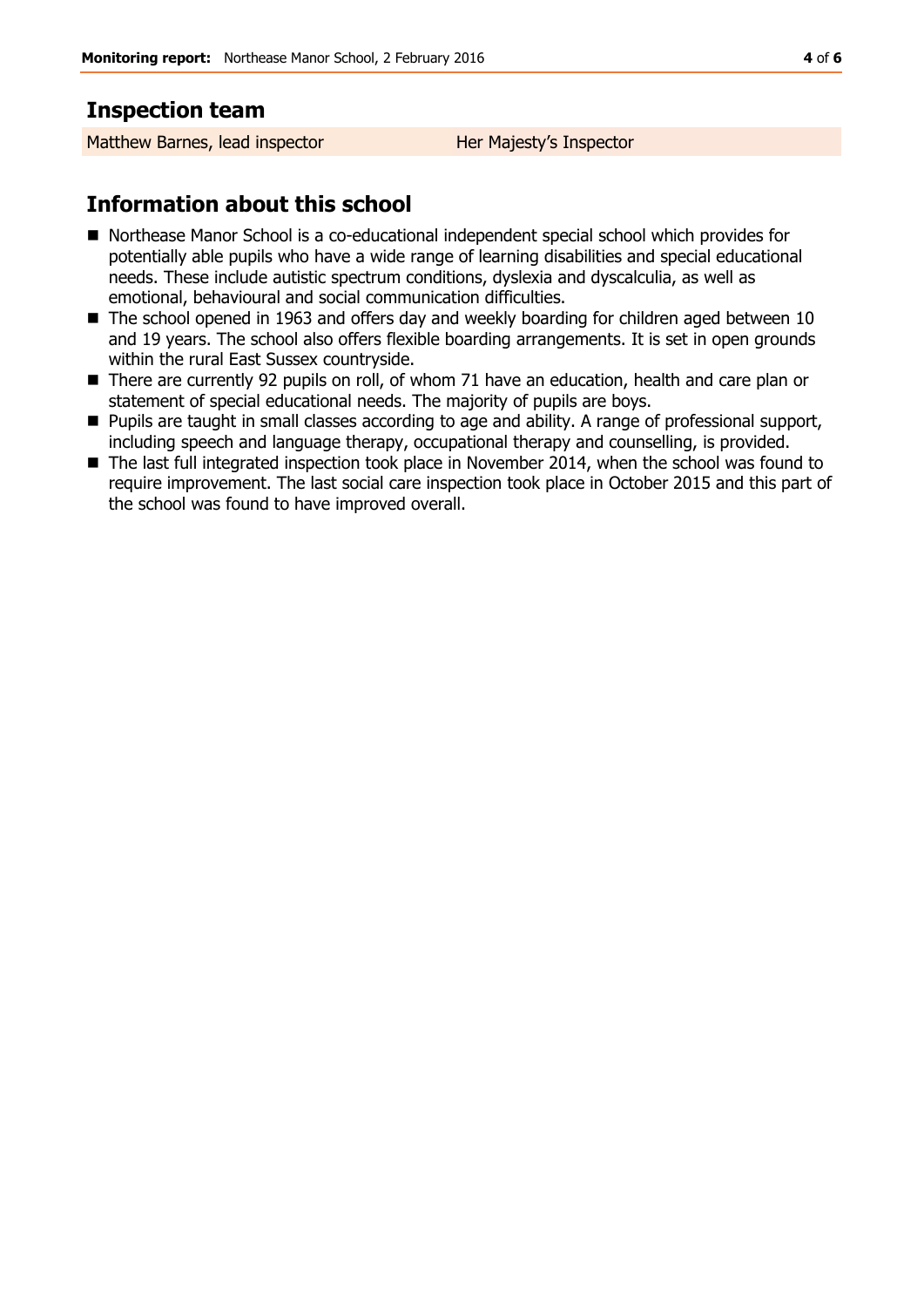## **Inspection team**

Matthew Barnes, lead inspector **Her Majesty's Inspector** 

# **Information about this school**

- Northease Manor School is a co-educational independent special school which provides for potentially able pupils who have a wide range of learning disabilities and special educational needs. These include autistic spectrum conditions, dyslexia and dyscalculia, as well as emotional, behavioural and social communication difficulties.
- The school opened in 1963 and offers day and weekly boarding for children aged between 10 and 19 years. The school also offers flexible boarding arrangements. It is set in open grounds within the rural East Sussex countryside.
- There are currently 92 pupils on roll, of whom 71 have an education, health and care plan or statement of special educational needs. The majority of pupils are boys.
- Pupils are taught in small classes according to age and ability. A range of professional support, including speech and language therapy, occupational therapy and counselling, is provided.
- The last full integrated inspection took place in November 2014, when the school was found to require improvement. The last social care inspection took place in October 2015 and this part of the school was found to have improved overall.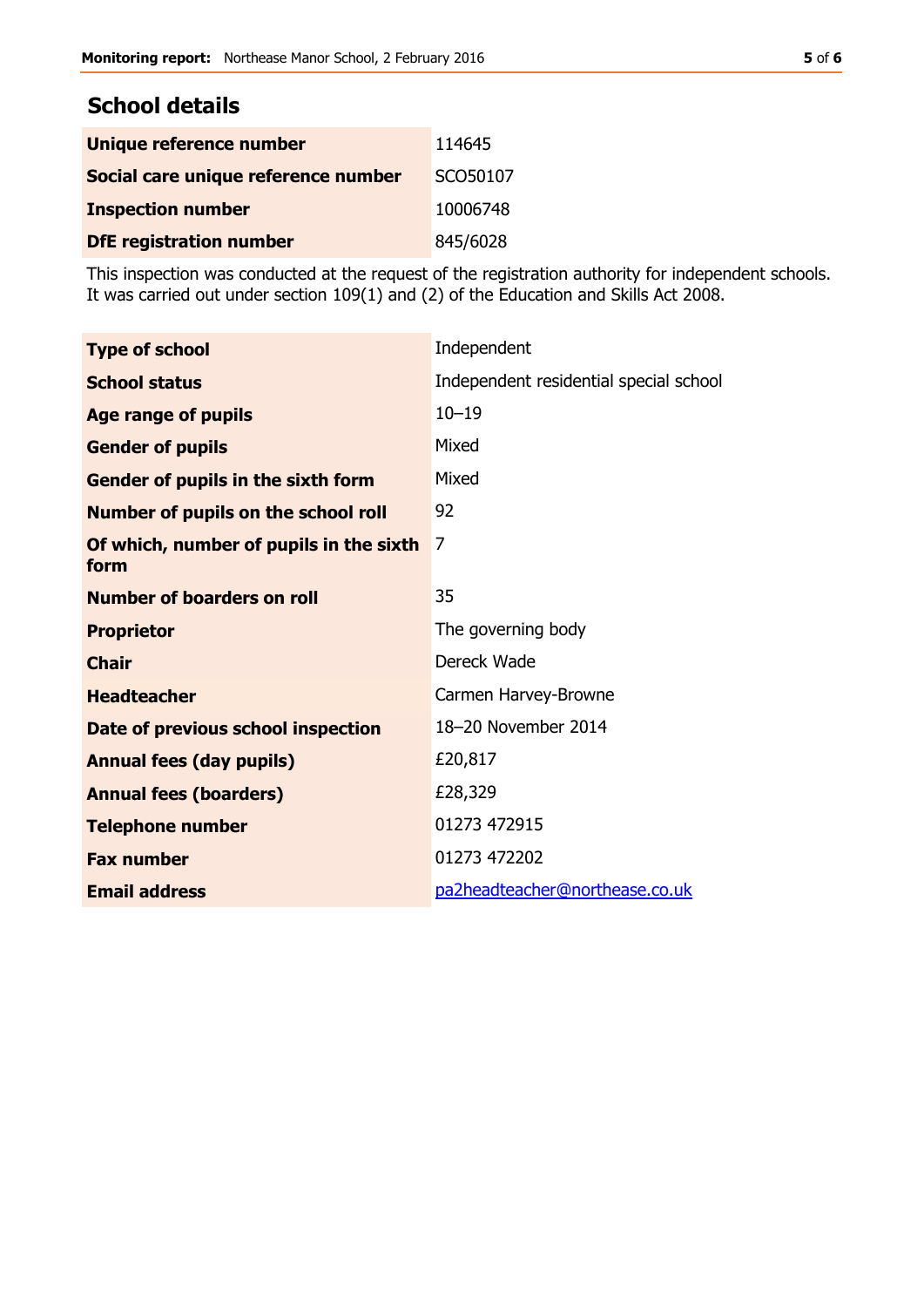# **School details**

| Unique reference number             | 114645   |
|-------------------------------------|----------|
| Social care unique reference number | SCO50107 |
| <b>Inspection number</b>            | 10006748 |
| <b>DfE registration number</b>      | 845/6028 |

This inspection was conducted at the request of the registration authority for independent schools. It was carried out under section 109(1) and (2) of the Education and Skills Act 2008.

| <b>Type of school</b>                           | Independent                            |
|-------------------------------------------------|----------------------------------------|
| <b>School status</b>                            | Independent residential special school |
| <b>Age range of pupils</b>                      | $10 - 19$                              |
| <b>Gender of pupils</b>                         | Mixed                                  |
| <b>Gender of pupils in the sixth form</b>       | Mixed                                  |
| <b>Number of pupils on the school roll</b>      | 92                                     |
| Of which, number of pupils in the sixth<br>form | 7                                      |
| <b>Number of boarders on roll</b>               | 35                                     |
| <b>Proprietor</b>                               | The governing body                     |
| <b>Chair</b>                                    | Dereck Wade                            |
| <b>Headteacher</b>                              | Carmen Harvey-Browne                   |
| Date of previous school inspection              | 18-20 November 2014                    |
| <b>Annual fees (day pupils)</b>                 | £20,817                                |
| <b>Annual fees (boarders)</b>                   | £28,329                                |
| <b>Telephone number</b>                         | 01273 472915                           |
| <b>Fax number</b>                               | 01273 472202                           |
| <b>Email address</b>                            | pa2headteacher@northease.co.uk         |